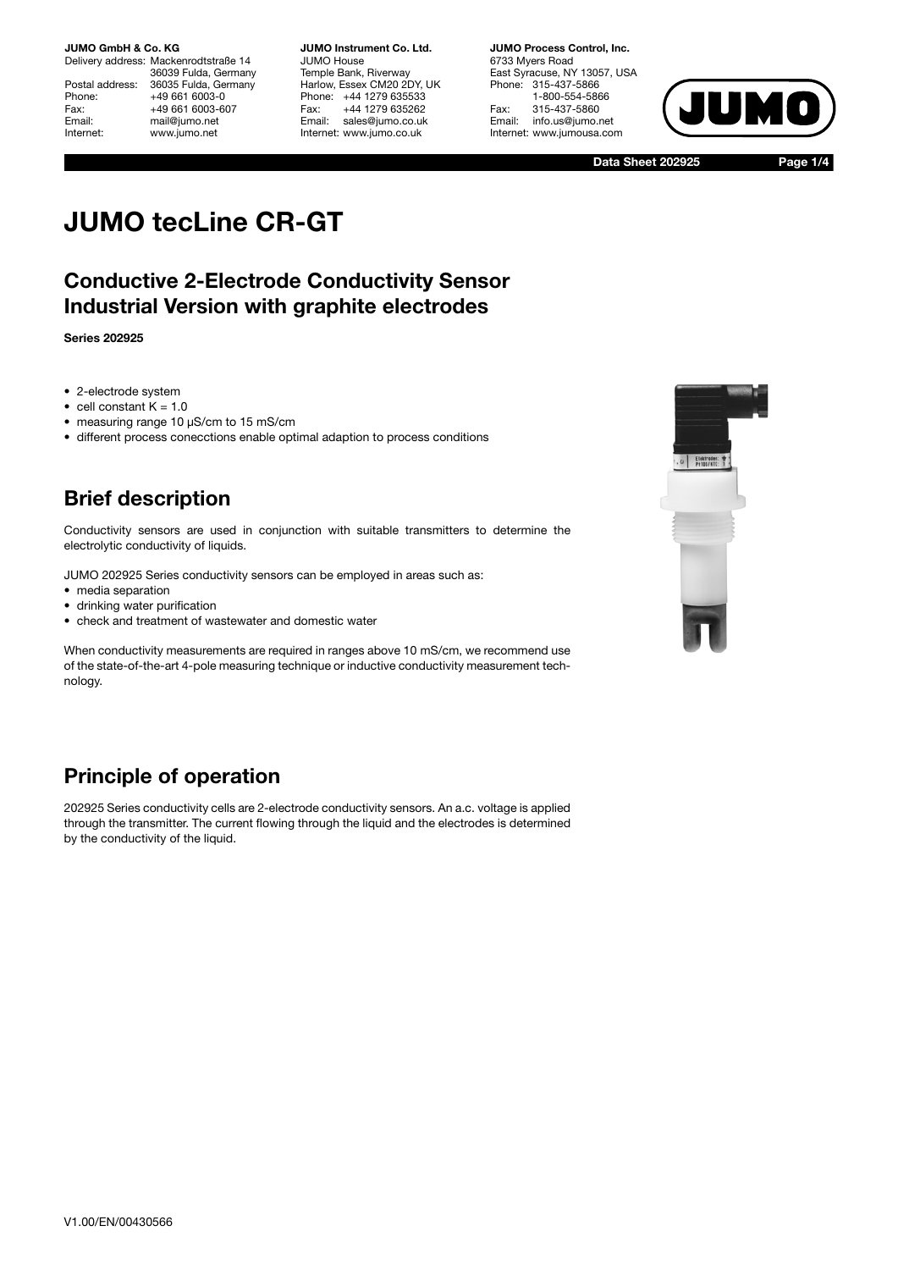Delivery address: Mackenrodtstraße 14 36039 Fulda, Germany Postal address: 36035 Fulda, Germany<br>Phone: +49 661 6003-0 Phone: +49 661 6003-0<br>Fax: +49 661 6003-6 Fax: +49 661 6003-607<br>Fmail: mail@iumo.net mail@jumo.net Internet: www.jumo.net

**JUMO Instrument Co. Ltd.** JUMO House Temple Bank, Riverway Harlow, Essex CM20 2DY, UK Phone: +44 1279 635533 Fax: +44 1279 635262 Email: sales@jumo.co.uk Internet: www.jumo.co.uk

**JUMO Process Control, Inc.** 6733 Myers Road East Syracuse, NY 13057, USA Phone: 315-437-5866 1-800-554-5866 Fax: 315-437-5860 info.us@jumo.net Internet: www.jumousa.com



 **Data Sheet 202925 Page 1/4**

# **JUMO tecLine CR-GT**

### **Conductive 2-Electrode Conductivity Sensor Industrial Version with graphite electrodes**

**Series 202925**

- 2-electrode system
- cell constant  $K = 1.0$
- measuring range 10 µS/cm to 15 mS/cm
- different process conecctions enable optimal adaption to process conditions

# **Brief description**

Conductivity sensors are used in conjunction with suitable transmitters to determine the electrolytic conductivity of liquids.

JUMO 202925 Series conductivity sensors can be employed in areas such as:

- media separation
- drinking water purification
- check and treatment of wastewater and domestic water

When conductivity measurements are required in ranges above 10 mS/cm, we recommend use of the state-of-the-art 4-pole measuring technique or inductive conductivity measurement technology.

# **Principle of operation**

202925 Series conductivity cells are 2-electrode conductivity sensors. An a.c. voltage is applied through the transmitter. The current flowing through the liquid and the electrodes is determined by the conductivity of the liquid.

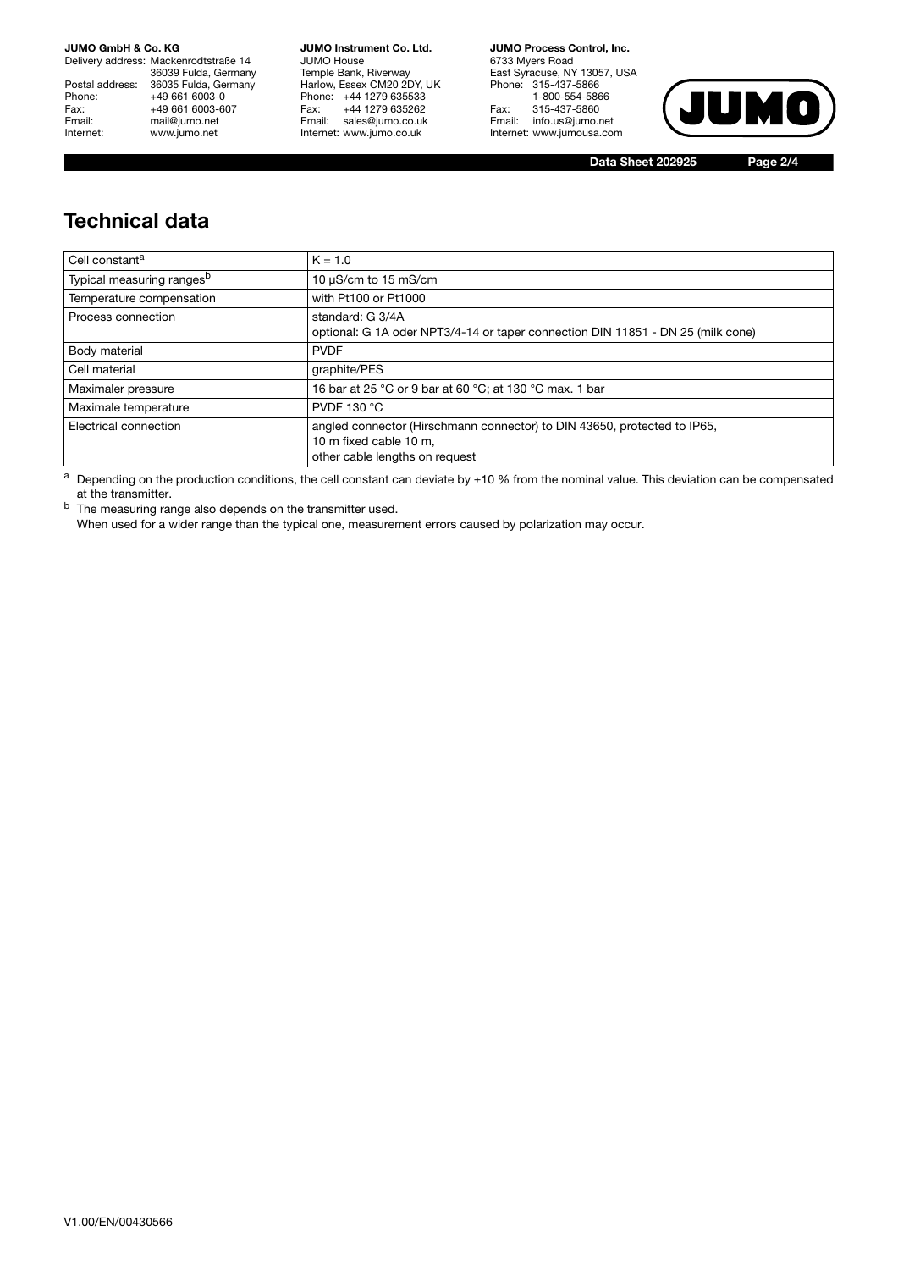Delivery address: Mackenrodtstraße 14 36039 Fulda, Germany Postal address: 36035 Fulda, Germany Phone: +49 661 6003-0<br>
Fax: +49 661 6003-6<br>
Email: mail@jumo.net +49 661 6003-607 mail@jumo.net Internet: www.jumo.net

**JUMO Instrument Co. Ltd.** JUMO House Temple Bank, Riverway Harlow, Essex CM20 2DY, UK Phone: +44 1279 635533<br>Fax: +44 1279 635262 +44 1279 635262 Email: sales@jumo.co.uk Internet: www.jumo.co.uk

**JUMO Process Control, Inc.** 6733 Myers Road East Syracuse, NY 13057, USA Phone: 315-437-5866 1-800-554-5866 Fax: 315-437-5860 Email: info.us@jumo.net Internet: www.jumousa.com



**Data Sheet 202925 Page 2/4**

### **Technical data**

| Cell constant <sup>a</sup>            | $K = 1.0$                                                                                                                            |
|---------------------------------------|--------------------------------------------------------------------------------------------------------------------------------------|
| Typical measuring ranges <sup>b</sup> | 10 $\mu$ S/cm to 15 mS/cm                                                                                                            |
| Temperature compensation              | with Pt100 or Pt1000                                                                                                                 |
| Process connection                    | standard: G 3/4A<br>optional: G 1A oder NPT3/4-14 or taper connection DIN 11851 - DN 25 (milk cone)                                  |
| Body material                         | <b>PVDF</b>                                                                                                                          |
| Cell material                         | graphite/PES                                                                                                                         |
| Maximaler pressure                    | 16 bar at 25 °C or 9 bar at 60 °C; at 130 °C max. 1 bar                                                                              |
| Maximale temperature                  | <b>PVDF 130 °C</b>                                                                                                                   |
| Electrical connection                 | angled connector (Hirschmann connector) to DIN 43650, protected to IP65,<br>10 m fixed cable 10 m,<br>other cable lengths on request |

 $a$  Depending on the production conditions, the cell constant can deviate by  $\pm 10$  % from the nominal value. This deviation can be compensated at the transmitter.

b The measuring range also depends on the transmitter used.

When used for a wider range than the typical one, measurement errors caused by polarization may occur.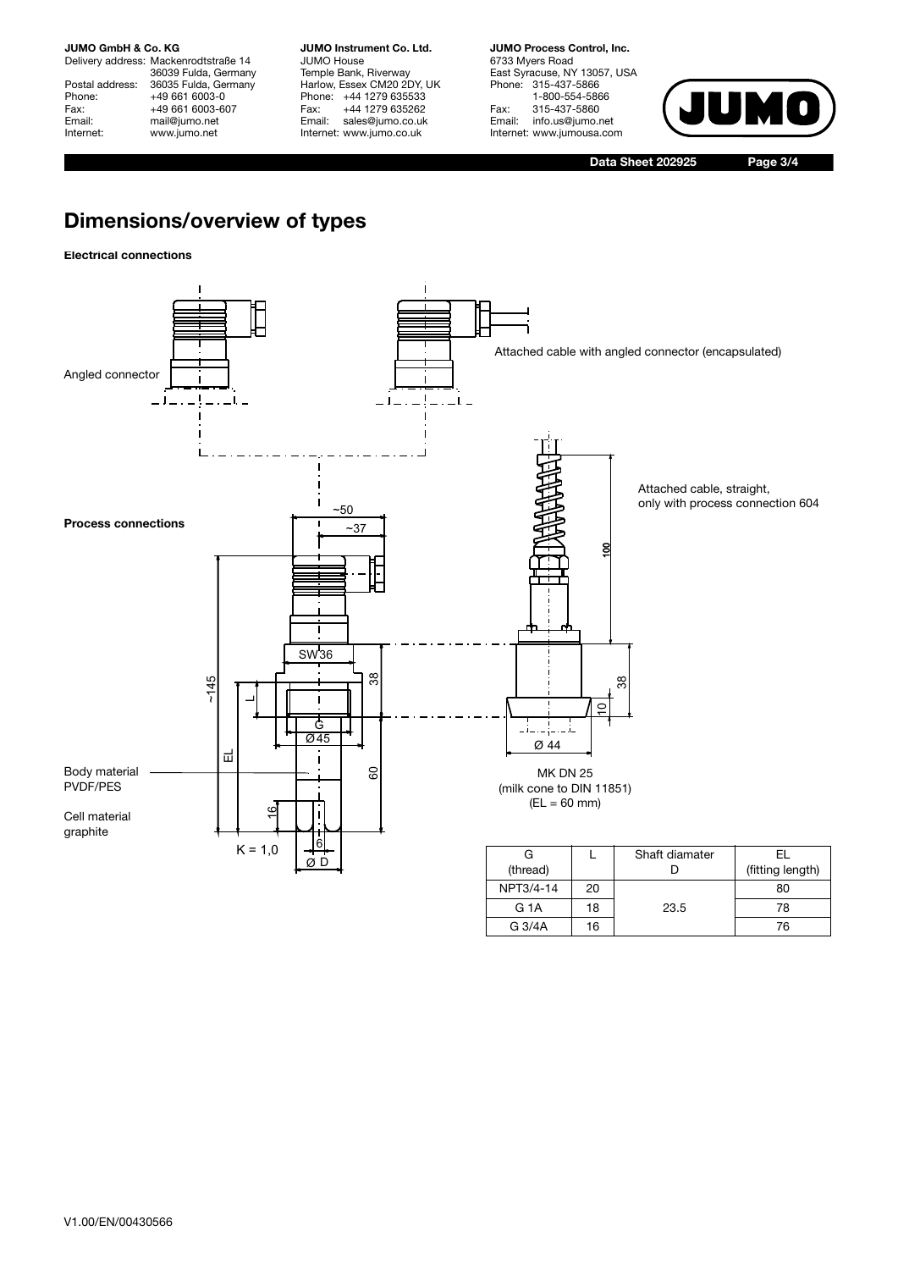Delivery address: Mackenrodtstraße 14 36039 Fulda, Germany Postal address: 36035 Fulda, Germany<br>Phone: +49 661 6003-0 Phone: +49 661 6003-0<br>Fax: +49 661 6003-6 Fax: +49 661 6003-607<br>Email: mail@iumo.net mail@jumo.net Internet: www.jumo.net

**JUMO Instrument Co. Ltd.** JUMO House Temple Bank, Riverway Harlow, Essex CM20 2DY, UK Phone: +44 1279 635533<br>Fax: +44 1279 635262 +44 1279 635262 Email: sales@jumo.co.uk Internet: www.jumo.co.uk

**JUMO Process Control, Inc.** 6733 Myers Road East Syracuse, NY 13057, USA Phone: 315-437-5866 1-800-554-5866 Fax: 315-437-5860<br>Email: info.us@iumo.r info.us@jumo.net Internet: www.jumousa.com



**Data Sheet 202925 Page 3/4**

G 3/4A 16 76

# **Dimensions/overview of types**

### **Electrical connections**